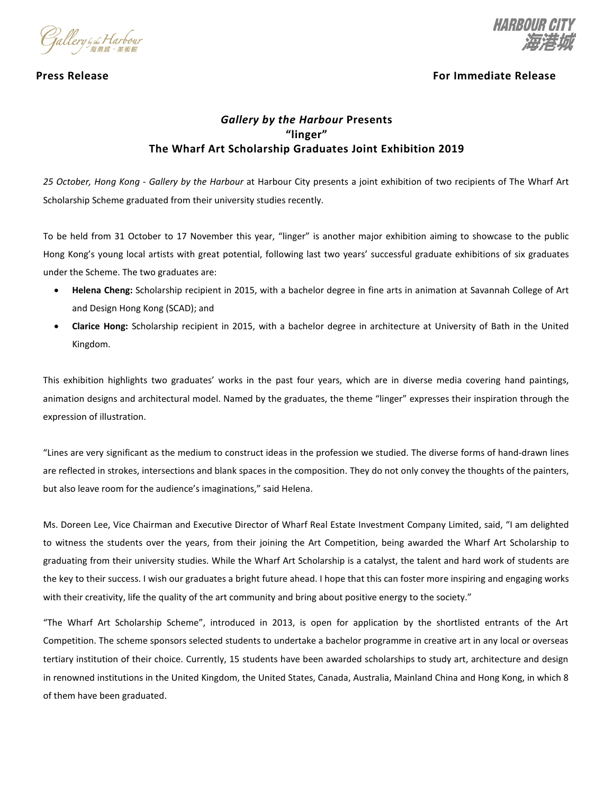Tallery <sub>by the</sub> Harbour



## **Press Release For Immediate Release**

# *Gallery by the Harbour* **Presents "linger" The Wharf Art Scholarship Graduates Joint Exhibition 2019**

*25 October, Hong Kong - Gallery by the Harbour* at Harbour City presents a joint exhibition of two recipients of The Wharf Art Scholarship Scheme graduated from their university studies recently.

To be held from 31 October to 17 November this year, "linger" is another major exhibition aiming to showcase to the public Hong Kong's young local artists with great potential, following last two years' successful graduate exhibitions of six graduates under the Scheme. The two graduates are:

- **Helena Cheng:** Scholarship recipient in 2015, with a bachelor degree in fine arts in animation at Savannah College of Art and Design Hong Kong (SCAD); and
- **Clarice Hong:** Scholarship recipient in 2015, with a bachelor degree in architecture at University of Bath in the United Kingdom.

This exhibition highlights two graduates' works in the past four years, which are in diverse media covering hand paintings, animation designs and architectural model. Named by the graduates, the theme "linger" expresses their inspiration through the expression of illustration.

"Lines are very significant as the medium to construct ideas in the profession we studied. The diverse forms of hand-drawn lines are reflected in strokes, intersections and blank spaces in the composition. They do not only convey the thoughts of the painters, but also leave room for the audience's imaginations," said Helena.

Ms. Doreen Lee, Vice Chairman and Executive Director of Wharf Real Estate Investment Company Limited, said, "I am delighted to witness the students over the years, from their joining the Art Competition, being awarded the Wharf Art Scholarship to graduating from their university studies. While the Wharf Art Scholarship is a catalyst, the talent and hard work of students are the key to their success. I wish our graduates a bright future ahead. I hope that this can foster more inspiring and engaging works with their creativity, life the quality of the art community and bring about positive energy to the society."

"The Wharf Art Scholarship Scheme", introduced in 2013, is open for application by the shortlisted entrants of the Art Competition. The scheme sponsors selected students to undertake a bachelor programme in creative art in any local or overseas tertiary institution of their choice. Currently, 15 students have been awarded scholarships to study art, architecture and design in renowned institutions in the United Kingdom, the United States, Canada, Australia, Mainland China and Hong Kong, in which 8 of them have been graduated.